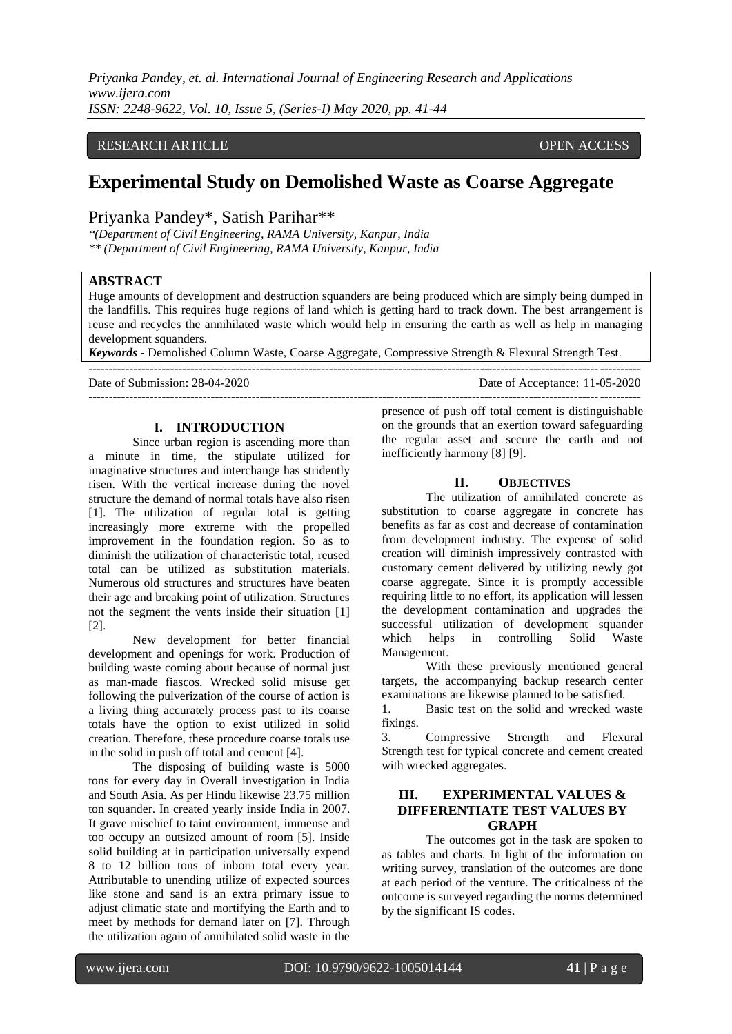*Priyanka Pandey, et. al. International Journal of Engineering Research and Applications www.ijera.com ISSN: 2248-9622, Vol. 10, Issue 5, (Series-I) May 2020, pp. 41-44*

## RESEARCH ARTICLE **CONSERVERS** OPEN ACCESS

# **Experimental Study on Demolished Waste as Coarse Aggregate**

# Priyanka Pandey\*, Satish Parihar\*\*

*\*(Department of Civil Engineering, RAMA University, Kanpur, India \*\* (Department of Civil Engineering, RAMA University, Kanpur, India*

#### **ABSTRACT**

Huge amounts of development and destruction squanders are being produced which are simply being dumped in the landfills. This requires huge regions of land which is getting hard to track down. The best arrangement is reuse and recycles the annihilated waste which would help in ensuring the earth as well as help in managing development squanders.

*Keywords* **-** Demolished Column Waste, Coarse Aggregate, Compressive Strength & Flexural Strength Test.

---------------------------------------------------------------------------------------------------------------------------------------

Date of Submission: 28-04-2020 Date of Acceptance: 11-05-2020

---------------------------------------------------------------------------------------------------------------------------------------

# **I. INTRODUCTION**

Since urban region is ascending more than a minute in time, the stipulate utilized for imaginative structures and interchange has stridently risen. With the vertical increase during the novel structure the demand of normal totals have also risen [1]. The utilization of regular total is getting increasingly more extreme with the propelled improvement in the foundation region. So as to diminish the utilization of characteristic total, reused total can be utilized as substitution materials. Numerous old structures and structures have beaten their age and breaking point of utilization. Structures not the segment the vents inside their situation [1] [2].

New development for better financial development and openings for work. Production of building waste coming about because of normal just as man-made fiascos. Wrecked solid misuse get following the pulverization of the course of action is a living thing accurately process past to its coarse totals have the option to exist utilized in solid creation. Therefore, these procedure coarse totals use in the solid in push off total and cement [4].

The disposing of building waste is 5000 tons for every day in Overall investigation in India and South Asia. As per Hindu likewise 23.75 million ton squander. In created yearly inside India in 2007. It grave mischief to taint environment, immense and too occupy an outsized amount of room [5]. Inside solid building at in participation universally expend 8 to 12 billion tons of inborn total every year. Attributable to unending utilize of expected sources like stone and sand is an extra primary issue to adjust climatic state and mortifying the Earth and to meet by methods for demand later on [7]. Through the utilization again of annihilated solid waste in the

presence of push off total cement is distinguishable on the grounds that an exertion toward safeguarding the regular asset and secure the earth and not inefficiently harmony [8] [9].

#### **II. OBJECTIVES**

The utilization of annihilated concrete as substitution to coarse aggregate in concrete has benefits as far as cost and decrease of contamination from development industry. The expense of solid creation will diminish impressively contrasted with customary cement delivered by utilizing newly got coarse aggregate. Since it is promptly accessible requiring little to no effort, its application will lessen the development contamination and upgrades the successful utilization of development squander which helps in controlling Solid Waste Management.

With these previously mentioned general targets, the accompanying backup research center examinations are likewise planned to be satisfied.

1. Basic test on the solid and wrecked waste fixings.

3. Compressive Strength and Flexural Strength test for typical concrete and cement created with wrecked aggregates.

# **III. EXPERIMENTAL VALUES & DIFFERENTIATE TEST VALUES BY GRAPH**

The outcomes got in the task are spoken to as tables and charts. In light of the information on writing survey, translation of the outcomes are done at each period of the venture. The criticalness of the outcome is surveyed regarding the norms determined by the significant IS codes.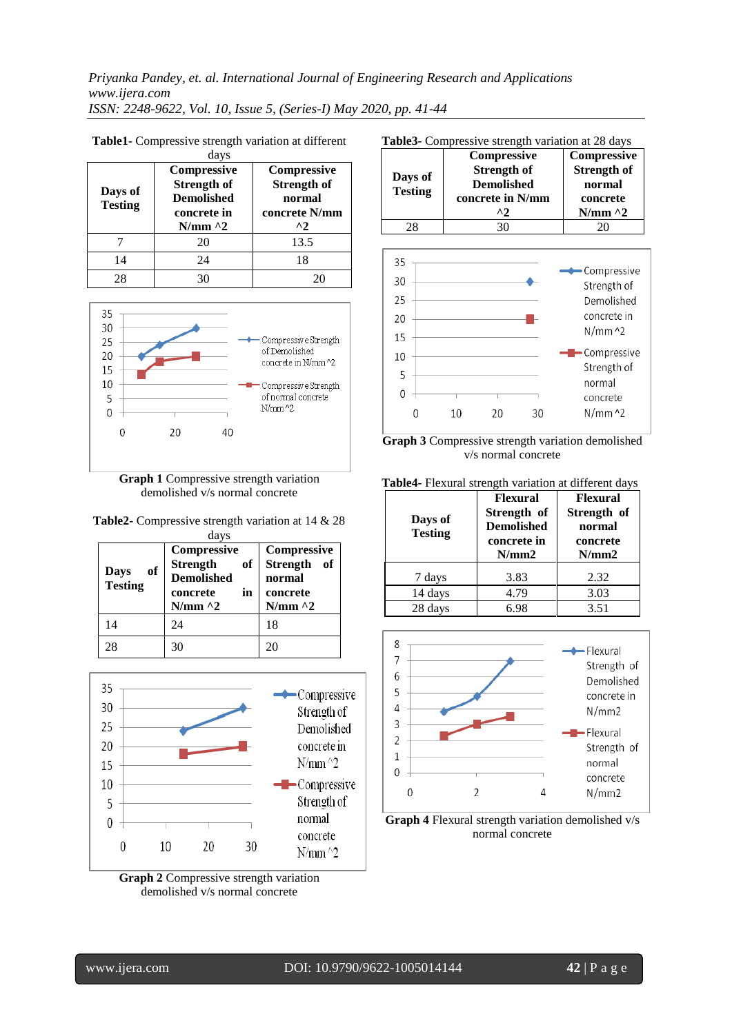*Priyanka Pandey, et. al. International Journal of Engineering Research and Applications www.ijera.com ISSN: 2248-9622, Vol. 10, Issue 5, (Series-I) May 2020, pp. 41-44*

|                           | days                                                                                  |                                                                                     |
|---------------------------|---------------------------------------------------------------------------------------|-------------------------------------------------------------------------------------|
| Days of<br><b>Testing</b> | Compressive<br><b>Strength of</b><br><b>Demolished</b><br>concrete in<br>$N/mm \, ^2$ | <b>Compressive</b><br><b>Strength of</b><br>normal<br>concrete N/mm<br>$^{\prime}2$ |
|                           | 20                                                                                    | 13.5                                                                                |
| 14                        | 24                                                                                    | 18                                                                                  |
| 28                        |                                                                                       |                                                                                     |

**Table1-** Compressive strength variation at different



**Graph 1** Compressive strength variation demolished v/s normal concrete

| <b>Table2-</b> Compressive strength variation at 14 & 28 |      |  |  |
|----------------------------------------------------------|------|--|--|
|                                                          | days |  |  |

| of<br>Days<br><b>Testing</b> | Compressive<br>Strength<br>of<br><b>Demolished</b><br>in<br>concrete<br>$N/mm \, ^2$ | Compressive<br>Strength of<br>normal<br>concrete<br>$N/mm \, ^2$ |
|------------------------------|--------------------------------------------------------------------------------------|------------------------------------------------------------------|
| 14                           | 24                                                                                   | 18                                                               |
| 28                           | 30                                                                                   | 20                                                               |



**Graph 2** Compressive strength variation demolished v/s normal concrete

|                | Compressive        | Compressive        |
|----------------|--------------------|--------------------|
|                | <b>Strength of</b> | <b>Strength of</b> |
| Days of        | <b>Demolished</b>  | normal             |
| <b>Testing</b> | concrete in N/mm   | concrete           |
|                | ^2                 | $N/mm \sim 2$      |
|                | 30                 |                    |



**Graph 3** Compressive strength variation demolished v/s normal concrete

| Table4- Flexural strength variation at different days |                                                                             |                                                               |
|-------------------------------------------------------|-----------------------------------------------------------------------------|---------------------------------------------------------------|
| Days of<br><b>Testing</b>                             | <b>Flexural</b><br>Strength of<br><b>Demolished</b><br>concrete in<br>N/mm2 | <b>Flexural</b><br>Strength of<br>normal<br>concrete<br>N/mm2 |
| 7 days                                                | 3.83                                                                        | 2.32                                                          |
| 14 days                                               | 4.79                                                                        | 3.03                                                          |
| 28 days                                               | 6.98                                                                        | 3.51                                                          |



**Graph 4** Flexural strength variation demolished v/s normal concrete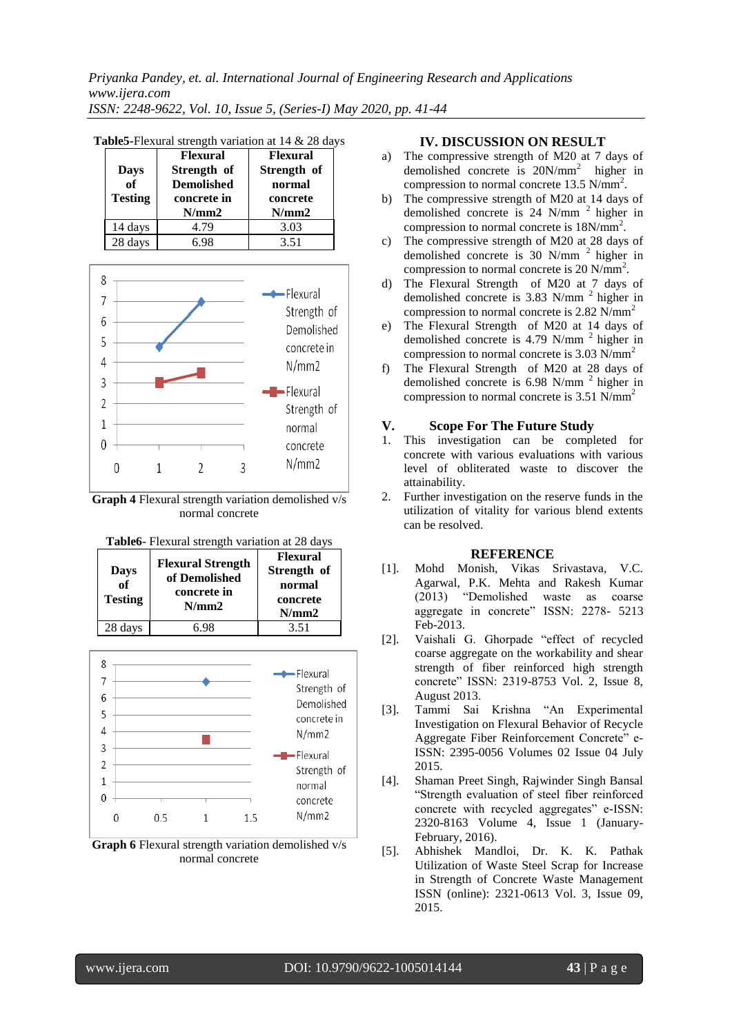| <b>Days</b><br>of | <b>Flexural</b><br>Strength of<br><b>Demolished</b> | <b>Flexural</b><br>Strength of<br>normal |
|-------------------|-----------------------------------------------------|------------------------------------------|
| <b>Testing</b>    | concrete in<br>N/mm2                                | concrete<br>N/mm2                        |
| 14 days           | 4.79                                                | 3.03                                     |
| 28 days           | 6.98                                                | 3.51                                     |

|--|



**Graph 4** Flexural strength variation demolished v/s normal concrete







# **IV. DISCUSSION ON RESULT**

- a) The compressive strength of M20 at 7 days of demolished concrete is  $20N/mm^2$  higher in compression to normal concrete  $13.5 \text{ N/mm}^2$ .
- b) The compressive strength of M20 at 14 days of demolished concrete is 24 N/mm<sup>2</sup> higher in compression to normal concrete is 18N/mm<sup>2</sup>.
- c) The compressive strength of M20 at 28 days of demolished concrete is 30 N/mm<sup>2</sup> higher in compression to normal concrete is 20 N/mm<sup>2</sup>.
- d) The Flexural Strengthof M20 at 7 days of demolished concrete is  $3.83$  N/mm<sup>2</sup> higher in compression to normal concrete is 2.82 N/mm<sup>2</sup>
- e) The Flexural Strengthof M20 at 14 days of demolished concrete is  $4.79$  N/mm<sup>2</sup> higher in compression to normal concrete is 3.03 N/mm<sup>2</sup>
- f) The Flexural Strengthof M20 at 28 days of demolished concrete is  $6.98$  N/mm<sup>2</sup> higher in compression to normal concrete is 3.51 N/mm<sup>2</sup>

# **V. Scope For The Future Study**<br>1. This investigation can be comple

- This investigation can be completed for concrete with various evaluations with various level of obliterated waste to discover the attainability.
- 2. Further investigation on the reserve funds in the utilization of vitality for various blend extents can be resolved.

# **REFERENCE**

- [1]. Mohd Monish, Vikas Srivastava, V.C. Agarwal, P.K. Mehta and Rakesh Kumar (2013) "Demolished waste as coarse aggregate in concrete" ISSN: 2278- 5213 Feb-2013.
- [2]. Vaishali G. Ghorpade "effect of recycled coarse aggregate on the workability and shear strength of fiber reinforced high strength concrete" ISSN: 2319-8753 Vol. 2, Issue 8, August 2013.
- [3]. Tammi Sai Krishna "An Experimental Investigation on Flexural Behavior of Recycle Aggregate Fiber Reinforcement Concrete" e-ISSN: 2395-0056 Volumes 02 Issue 04 July 2015.
- [4]. Shaman Preet Singh, Rajwinder Singh Bansal "Strength evaluation of steel fiber reinforced concrete with recycled aggregates" e-ISSN: 2320-8163 Volume 4, Issue 1 (January-February, 2016).
- [5]. Abhishek Mandloi, Dr. K. K. Pathak Utilization of Waste Steel Scrap for Increase in Strength of Concrete Waste Management ISSN (online): 2321-0613 Vol. 3, Issue 09, 2015.